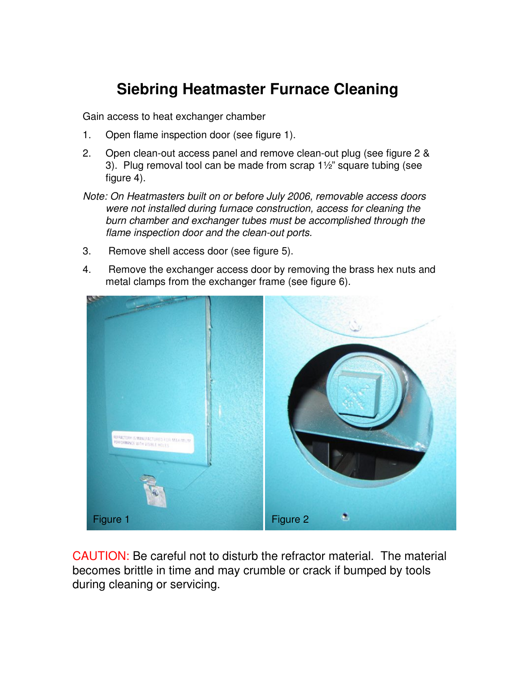## **Siebring Heatmaster Furnace Cleaning**

Gain access to heat exchanger chamber

- 1. Open flame inspection door (see figure 1).
- 2. Open clean-out access panel and remove clean-out plug (see figure 2 & 3). Plug removal tool can be made from scrap 1½" square tubing (see figure 4).
- Note: On Heatmasters built on or before July 2006, removable access doors were not installed during furnace construction, access for cleaning the burn chamber and exchanger tubes must be accomplished through the flame inspection door and the clean-out ports.
- 3. Remove shell access door (see figure 5).
- 4. Remove the exchanger access door by removing the brass hex nuts and metal clamps from the exchanger frame (see figure 6).



CAUTION: Be careful not to disturb the refractor material. The material becomes brittle in time and may crumble or crack if bumped by tools during cleaning or servicing.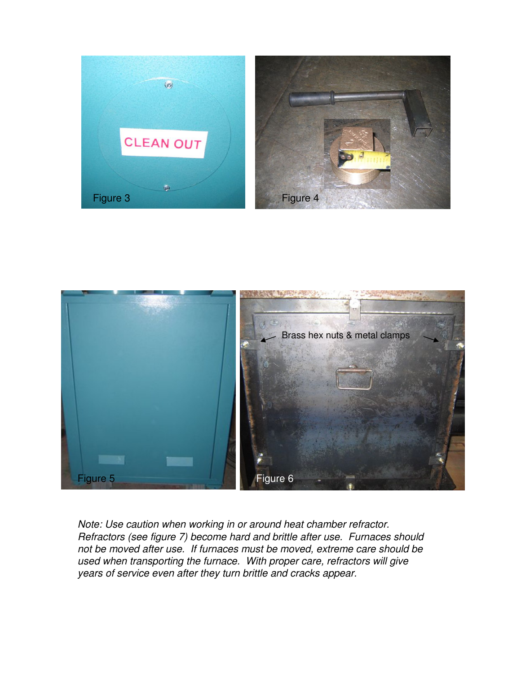



Note: Use caution when working in or around heat chamber refractor. Refractors (see figure 7) become hard and brittle after use. Furnaces should not be moved after use. If furnaces must be moved, extreme care should be used when transporting the furnace. With proper care, refractors will give years of service even after they turn brittle and cracks appear.